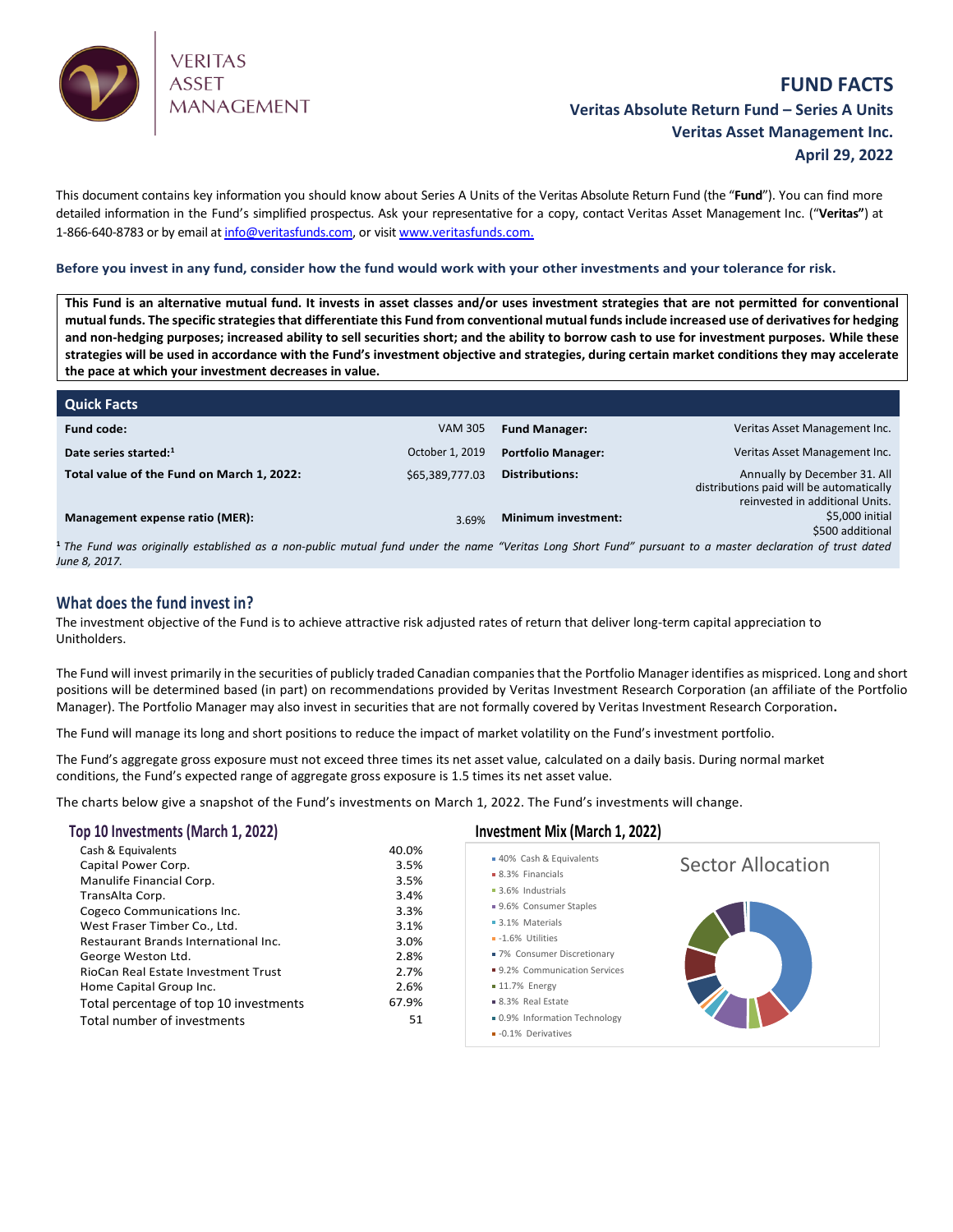

# **FUND FACTS Veritas Absolute Return Fund – Series A Units Veritas Asset Management Inc. April 29, 2022**

This document contains key information you should know about Series A Units of the Veritas Absolute Return Fund (the "**Fund**"). You can find more detailed information in the Fund's simplified prospectus. Ask your representative for a copy, contact Veritas Asset Management Inc. ("**Veritas"**) at 1-866-640-8783 or by email a[t info@veritasfunds.com,](mailto:info@veritasfunds.com) or visi[t www.veritasfunds.com.](http://www.alignvestcapital.com./)

**Before you invest in any fund, consider how the fund would work with your other investments and your tolerance for risk.**

**This Fund is an alternative mutual fund. It invests in asset classes and/or uses investment strategies that are not permitted for conventional mutual funds. The specific strategies that differentiate this Fund from conventional mutual funds include increased use of derivatives for hedging and non-hedging purposes; increased ability to sell securities short; and the ability to borrow cash to use for investment purposes. While these strategies will be used in accordance with the Fund's investment objective and strategies, during certain market conditions they may accelerate the pace at which your investment decreases in value.**

| <b>Quick Facts</b>                                                                                                                                                    |                 |                           |                                                                                                             |
|-----------------------------------------------------------------------------------------------------------------------------------------------------------------------|-----------------|---------------------------|-------------------------------------------------------------------------------------------------------------|
| <b>Fund code:</b>                                                                                                                                                     | <b>VAM 305</b>  | <b>Fund Manager:</b>      | Veritas Asset Management Inc.                                                                               |
| Date series started:1                                                                                                                                                 | October 1, 2019 | <b>Portfolio Manager:</b> | Veritas Asset Management Inc.                                                                               |
| Total value of the Fund on March 1, 2022:                                                                                                                             | \$65,389,777.03 | Distributions:            | Annually by December 31. All<br>distributions paid will be automatically<br>reinvested in additional Units. |
| Management expense ratio (MER):                                                                                                                                       | 3.69%           | Minimum investment:       | \$5,000 initial<br>\$500 additional                                                                         |
| <sup>1</sup> The Fund was originally established as a non-public mutual fund under the name "Veritas Long Short Fund" pursuant to a master declaration of trust dated |                 |                           |                                                                                                             |

*June 8, 2017.*

# **What does the fund invest in?**

The investment objective of the Fund is to achieve attractive risk adjusted rates of return that deliver long-term capital appreciation to Unitholders.

The Fund will invest primarily in the securities of publicly traded Canadian companies that the Portfolio Manager identifies as mispriced. Long and short positions will be determined based (in part) on recommendations provided by Veritas Investment Research Corporation (an affiliate of the Portfolio Manager). The Portfolio Manager may also invest in securities that are not formally covered by Veritas Investment Research Corporation**.**

The Fund will manage its long and short positions to reduce the impact of market volatility on the Fund's investment portfolio.

The Fund's aggregate gross exposure must not exceed three times its net asset value, calculated on a daily basis. During normal market conditions, the Fund's expected range of aggregate gross exposure is 1.5 times its net asset value.

The charts below give a snapshot of the Fund's investments on March 1, 2022. The Fund's investments will change.

| Top 10 Investments (March 1, 2022)                                                                                                                                                                                                                                                                                                                              | Investment Mix (March 1, 2022)                                                               |                                                                                                                                                                                                                                                                                              |                          |
|-----------------------------------------------------------------------------------------------------------------------------------------------------------------------------------------------------------------------------------------------------------------------------------------------------------------------------------------------------------------|----------------------------------------------------------------------------------------------|----------------------------------------------------------------------------------------------------------------------------------------------------------------------------------------------------------------------------------------------------------------------------------------------|--------------------------|
| Cash & Equivalents<br>Capital Power Corp.<br>Manulife Financial Corp.<br>TransAlta Corp.<br>Cogeco Communications Inc.<br>West Fraser Timber Co., Ltd.<br>Restaurant Brands International Inc.<br>George Weston Ltd.<br>RioCan Real Estate Investment Trust<br>Home Capital Group Inc.<br>Total percentage of top 10 investments<br>Total number of investments | 40.0%<br>3.5%<br>3.5%<br>3.4%<br>3.3%<br>3.1%<br>3.0%<br>2.8%<br>2.7%<br>2.6%<br>67.9%<br>51 | ■ 40% Cash & Equivalents<br>• 8.3% Financials<br>3.6% Industrials<br>■ 9.6% Consumer Staples<br>• 3.1% Materials<br>- - 1.6% Utilities<br>■ 7% Consumer Discretionary<br>■ 9.2% Communication Services<br>$\blacksquare$ 11.7% Energy<br>■ 8.3% Real Estate<br>. 0.9% Information Technology | <b>Sector Allocation</b> |
|                                                                                                                                                                                                                                                                                                                                                                 |                                                                                              | • -0.1% Derivatives                                                                                                                                                                                                                                                                          |                          |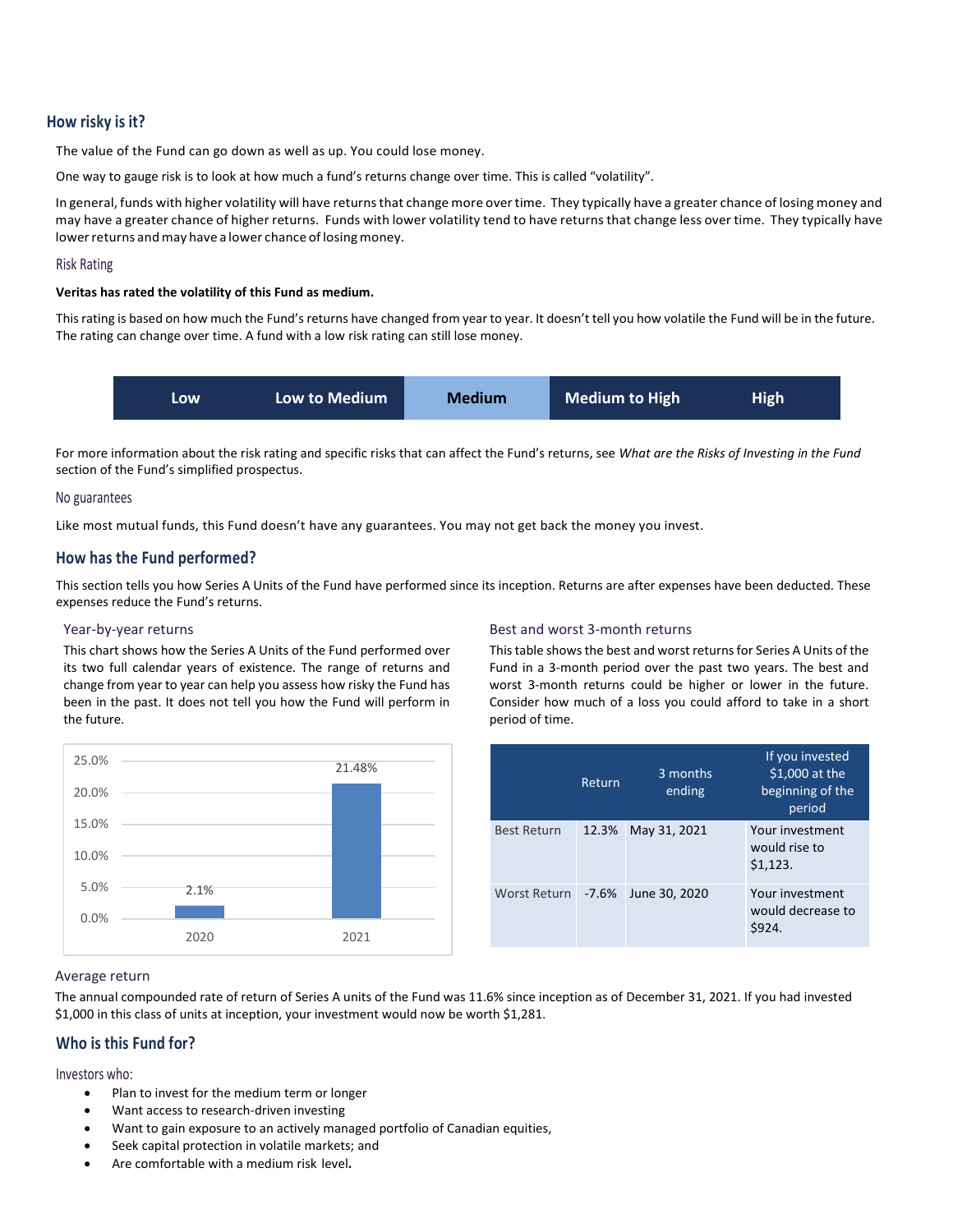# **How risky is it?**

The value of the Fund can go down as well as up. You could lose money.

One way to gauge risk is to look at how much a fund's returns change over time. This is called "volatility".

In general, funds with higher volatility will have returns that change more over time. They typically have a greater chance of losing money and may have a greater chance of higher returns. Funds with lower volatility tend to have returnsthat change less over time. They typically have lower returns and may have a lower chance of losing money.

#### Risk Rating

### **Veritas has rated the volatility of this Fund as medium.**

Thisrating is based on how much the Fund's returns have changed from year to year. It doesn't tell you how volatile the Fund will be in the future. The rating can change over time. A fund with a low risk rating can still lose money.



For more information about the risk rating and specific risks that can affect the Fund's returns, see *What are the Risks of Investing in the Fund* section of the Fund's simplified prospectus.

#### No guarantees

Like most mutual funds, this Fund doesn't have any guarantees. You may not get back the money you invest.

## **How has the Fund performed?**

This section tells you how Series A Units of the Fund have performed since its inception. Returns are after expenses have been deducted. These expenses reduce the Fund's returns.

#### Year-by-year returns

This chart shows how the Series A Units of the Fund performed over its two full calendar years of existence. The range of returns and change from year to year can help you assess how risky the Fund has been in the past. It does not tell you how the Fund will perform in the future.



#### Best and worst 3-month returns

This table shows the best and worst returns for Series A Units of the Fund in a 3-month period over the past two years. The best and worst 3-month returns could be higher or lower in the future. Consider how much of a loss you could afford to take in a short period of time.

|                    | Return  | 3 months<br>ending | If you invested<br>\$1,000 at the<br>beginning of the<br>period |
|--------------------|---------|--------------------|-----------------------------------------------------------------|
| <b>Best Return</b> | 12.3%   | May 31, 2021       | Your investment<br>would rise to<br>\$1,123.                    |
| Worst Return       | $-7.6%$ | June 30, 2020      | Your investment<br>would decrease to<br>\$924.                  |

#### Average return

The annual compounded rate of return of Series A units of the Fund was 11.6% since inception as of December 31, 2021. If you had invested \$1,000 in this class of units at inception, your investment would now be worth \$1,281.

# **Who is this Fund for?**

### Investors who:

- Plan to invest for the medium term or longer
- Want access to research-driven investing
- Want to gain exposure to an actively managed portfolio of Canadian equities,
- Seek capital protection in volatile markets; and
- Are comfortable with a medium risk level**.**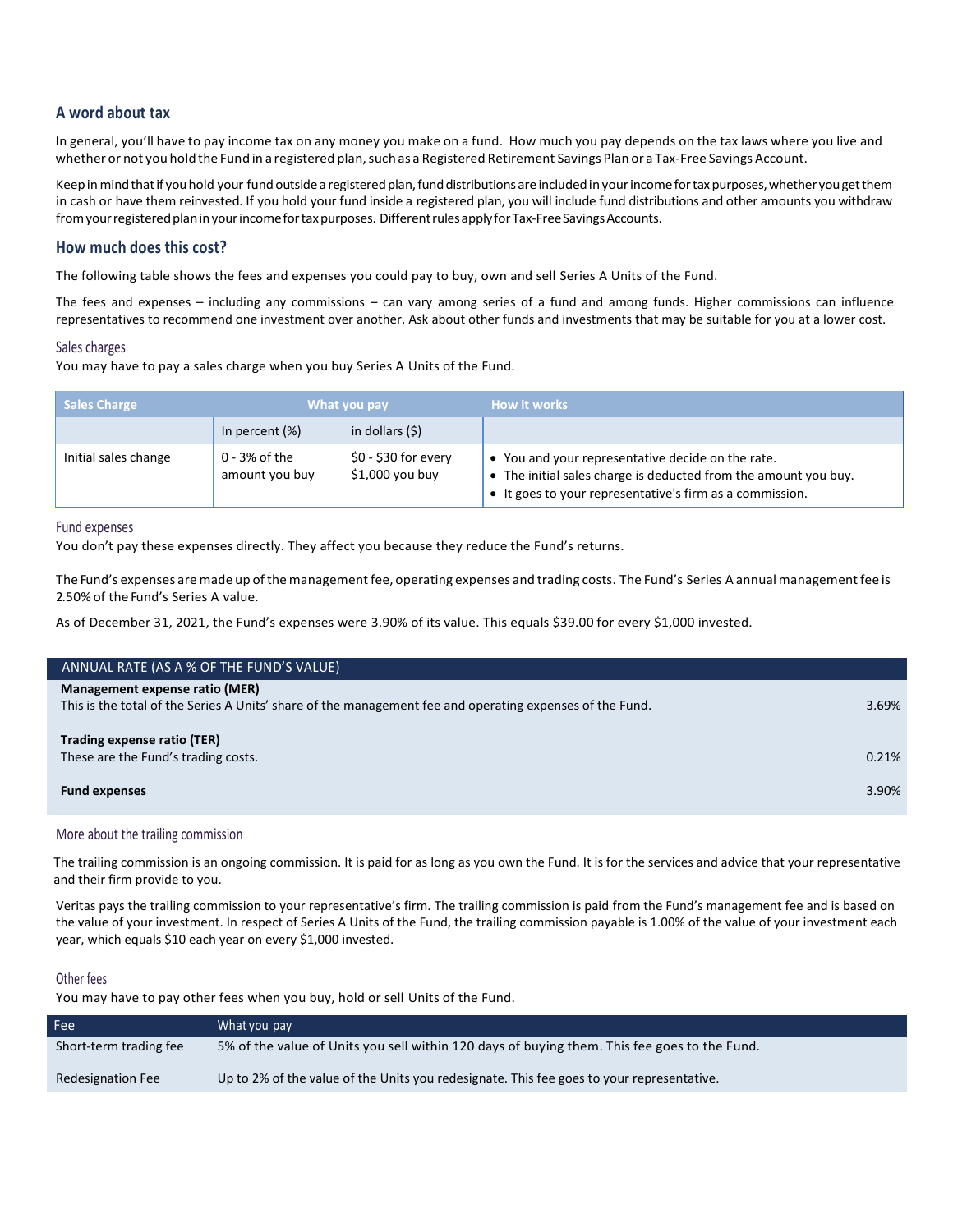# **A word about tax**

In general, you'll have to pay income tax on any money you make on a fund. How much you pay depends on the tax laws where you live and whether or not you hold the Fund in a registered plan, such as a Registered Retirement Savings Plan or a Tax-Free Savings Account.

Keep in mind that if you hold your fund outside a registered plan, fund distributions are included in your income for tax purposes, whether you get them in cash or have them reinvested. If you hold your fund inside a registered plan, you will include fund distributions and other amounts you withdraw from your registered plan in your income for tax purposes. Different rules apply for Tax-Free Savings Accounts.

# **How much does this cost?**

The following table shows the fees and expenses you could pay to buy, own and sell Series A Units of the Fund.

The fees and expenses – including any commissions – can vary among series of a fund and among funds. Higher commissions can influence representatives to recommend one investment over another. Ask about other funds and investments that may be suitable for you at a lower cost.

# Sales charges

You may have to pay a sales charge when you buy Series A Units of the Fund.

| Sales Charge         |                                   | What you pay                            | <b>How it works</b>                                                                                                                                                              |
|----------------------|-----------------------------------|-----------------------------------------|----------------------------------------------------------------------------------------------------------------------------------------------------------------------------------|
|                      | In percent $(\%)$                 | in dollars (\$)                         |                                                                                                                                                                                  |
| Initial sales change | $0 - 3%$ of the<br>amount you buy | \$0 - \$30 for every<br>\$1,000 you buy | • You and your representative decide on the rate.<br>• The initial sales charge is deducted from the amount you buy.<br>• It goes to your representative's firm as a commission. |

Fund expenses

You don't pay these expenses directly. They affect you because they reduce the Fund's returns.

The Fund's expenses are made up of the management fee, operating expenses and trading costs. The Fund's Series A annual management fee is 2.50% of the Fund's Series A value.

As of December 31, 2021, the Fund's expenses were 3.90% of its value. This equals \$39.00 for every \$1,000 invested.

| ANNUAL RATE (AS A % OF THE FUND'S VALUE)                                                                                                   |       |
|--------------------------------------------------------------------------------------------------------------------------------------------|-------|
| Management expense ratio (MER)<br>This is the total of the Series A Units' share of the management fee and operating expenses of the Fund. | 3.69% |
| Trading expense ratio (TER)<br>These are the Fund's trading costs.                                                                         | 0.21% |
| <b>Fund expenses</b>                                                                                                                       | 3.90% |

More about the trailing commission

The trailing commission is an ongoing commission. It is paid for as long as you own the Fund. It is for the services and advice that your representative and their firm provide to you.

Veritas pays the trailing commission to your representative's firm. The trailing commission is paid from the Fund's management fee and is based on the value of your investment. In respect of Series A Units of the Fund, the trailing commission payable is 1.00% of the value of your investment each year, which equals \$10 each year on every \$1,000 invested.

# Other fees

You may have to pay other fees when you buy, hold or sell Units of the Fund.

| Fee                      | What you pay                                                                                 |
|--------------------------|----------------------------------------------------------------------------------------------|
| Short-term trading fee   | 5% of the value of Units you sell within 120 days of buying them. This fee goes to the Fund. |
| <b>Redesignation Fee</b> | Up to 2% of the value of the Units you redesignate. This fee goes to your representative.    |